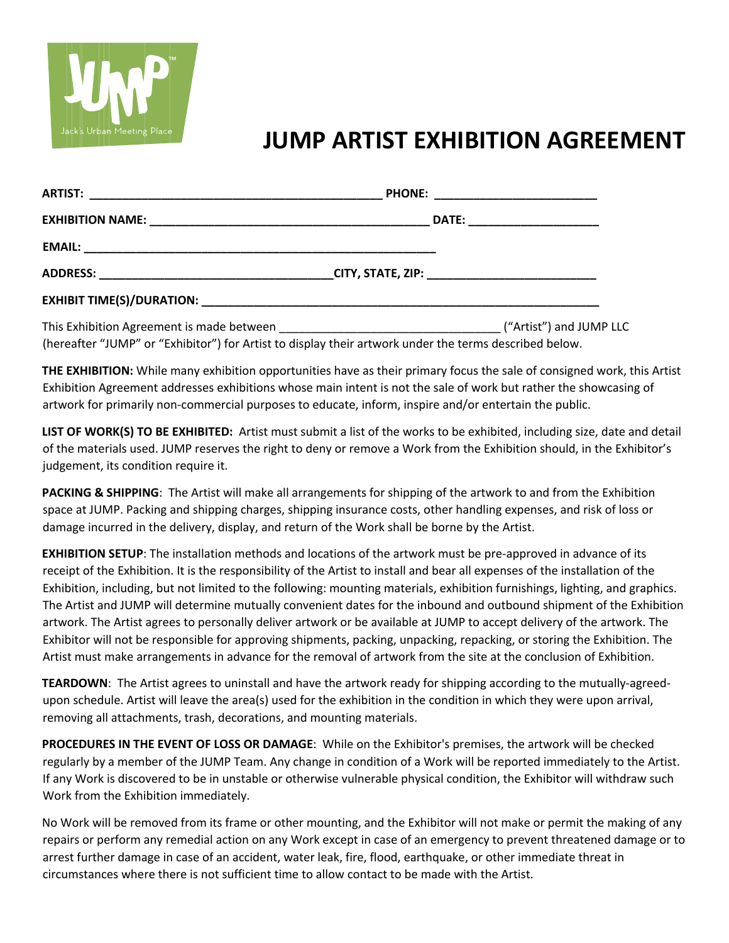

## **JUMP ARTIST EXHIBITION AGREEMENT**

|  | PHONE: ______________________________ |  |
|--|---------------------------------------|--|
|  |                                       |  |
|  |                                       |  |
|  |                                       |  |
|  |                                       |  |
|  |                                       |  |

(hereafter "JUMP" or "Exhibitor") for Artist to display their artwork under the terms described below.

**THE EXHIBITION:** While many exhibition opportunities have as their primary focus the sale of consigned work, this Artist Exhibition Agreement addresses exhibitions whose main intent is not the sale of work but rather the showcasing of artwork for primarily non-commercial purposes to educate, inform, inspire and/or entertain the public.

**LIST OF WORK(S) TO BE EXHIBITED:** Artist must submit a list of the works to be exhibited, including size, date and detail of the materials used. JUMP reserves the right to deny or remove a Work from the Exhibition should, in the Exhibitor's judgement, its condition require it.

**PACKING & SHIPPING**: The Artist will make all arrangements for shipping of the artwork to and from the Exhibition space at JUMP. Packing and shipping charges, shipping insurance costs, other handling expenses, and risk of loss or damage incurred in the delivery, display, and return of the Work shall be borne by the Artist.

**EXHIBITION SETUP**: The installation methods and locations of the artwork must be pre-approved in advance of its receipt of the Exhibition. It is the responsibility of the Artist to install and bear all expenses of the installation of the Exhibition, including, but not limited to the following: mounting materials, exhibition furnishings, lighting, and graphics. The Artist and JUMP will determine mutually convenient dates for the inbound and outbound shipment of the Exhibition artwork. The Artist agrees to personally deliver artwork or be available at JUMP to accept delivery of the artwork. The Exhibitor will not be responsible for approving shipments, packing, unpacking, repacking, or storing the Exhibition. The Artist must make arrangements in advance for the removal of artwork from the site at the conclusion of Exhibition.

**TEARDOWN**: The Artist agrees to uninstall and have the artwork ready for shipping according to the mutually-agreedupon schedule. Artist will leave the area(s) used for the exhibition in the condition in which they were upon arrival, removing all attachments, trash, decorations, and mounting materials.

**PROCEDURES IN THE EVENT OF LOSS OR DAMAGE**: While on the Exhibitor's premises, the artwork will be checked regularly by a member of the JUMP Team. Any change in condition of a Work will be reported immediately to the Artist. If any Work is discovered to be in unstable or otherwise vulnerable physical condition, the Exhibitor will withdraw such Work from the Exhibition immediately.

No Work will be removed from its frame or other mounting, and the Exhibitor will not make or permit the making of any repairs or perform any remedial action on any Work except in case of an emergency to prevent threatened damage or to arrest further damage in case of an accident, water leak, fire, flood, earthquake, or other immediate threat in circumstances where there is not sufficient time to allow contact to be made with the Artist.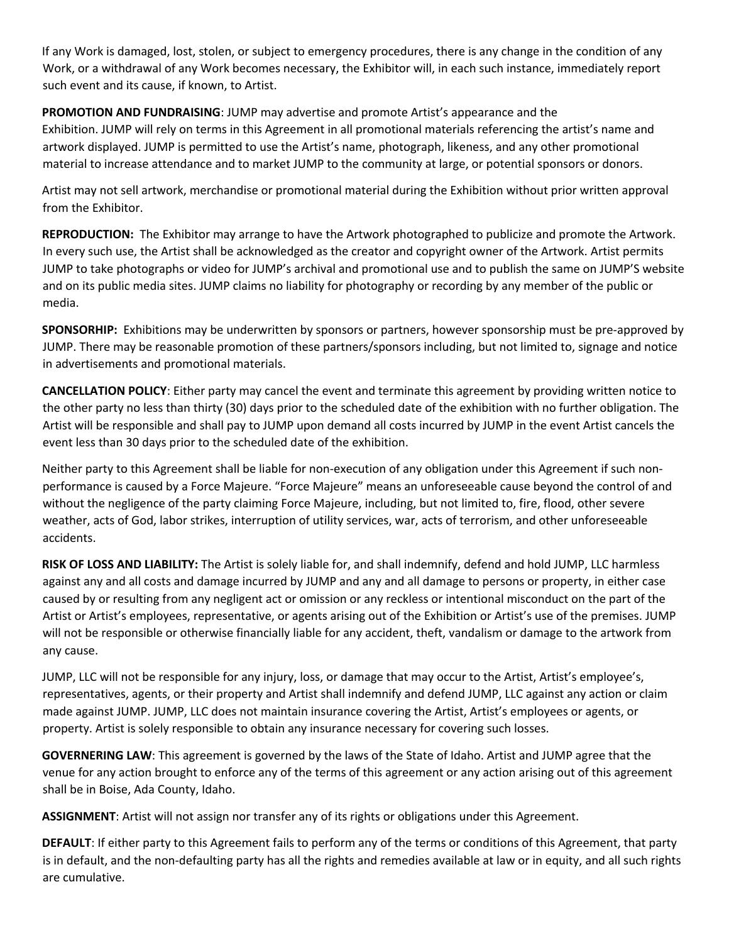If any Work is damaged, lost, stolen, or subject to emergency procedures, there is any change in the condition of any Work, or a withdrawal of any Work becomes necessary, the Exhibitor will, in each such instance, immediately report such event and its cause, if known, to Artist.

**PROMOTION AND FUNDRAISING**: JUMP may advertise and promote Artist's appearance and the Exhibition. JUMP will rely on terms in this Agreement in all promotional materials referencing the artist's name and artwork displayed. JUMP is permitted to use the Artist's name, photograph, likeness, and any other promotional material to increase attendance and to market JUMP to the community at large, or potential sponsors or donors.

Artist may not sell artwork, merchandise or promotional material during the Exhibition without prior written approval from the Exhibitor.

**REPRODUCTION:** The Exhibitor may arrange to have the Artwork photographed to publicize and promote the Artwork. In every such use, the Artist shall be acknowledged as the creator and copyright owner of the Artwork. Artist permits JUMP to take photographs or video for JUMP's archival and promotional use and to publish the same on JUMP'S website and on its public media sites. JUMP claims no liability for photography or recording by any member of the public or media.

**SPONSORHIP:** Exhibitions may be underwritten by sponsors or partners, however sponsorship must be pre-approved by JUMP. There may be reasonable promotion of these partners/sponsors including, but not limited to, signage and notice in advertisements and promotional materials.

**CANCELLATION POLICY**: Either party may cancel the event and terminate this agreement by providing written notice to the other party no less than thirty (30) days prior to the scheduled date of the exhibition with no further obligation. The Artist will be responsible and shall pay to JUMP upon demand all costs incurred by JUMP in the event Artist cancels the event less than 30 days prior to the scheduled date of the exhibition.

Neither party to this Agreement shall be liable for non-execution of any obligation under this Agreement if such nonperformance is caused by a Force Majeure. "Force Majeure" means an unforeseeable cause beyond the control of and without the negligence of the party claiming Force Majeure, including, but not limited to, fire, flood, other severe weather, acts of God, labor strikes, interruption of utility services, war, acts of terrorism, and other unforeseeable accidents.

**RISK OF LOSS AND LIABILITY:** The Artist is solely liable for, and shall indemnify, defend and hold JUMP, LLC harmless against any and all costs and damage incurred by JUMP and any and all damage to persons or property, in either case caused by or resulting from any negligent act or omission or any reckless or intentional misconduct on the part of the Artist or Artist's employees, representative, or agents arising out of the Exhibition or Artist's use of the premises. JUMP will not be responsible or otherwise financially liable for any accident, theft, vandalism or damage to the artwork from any cause.

JUMP, LLC will not be responsible for any injury, loss, or damage that may occur to the Artist, Artist's employee's, representatives, agents, or their property and Artist shall indemnify and defend JUMP, LLC against any action or claim made against JUMP. JUMP, LLC does not maintain insurance covering the Artist, Artist's employees or agents, or property. Artist is solely responsible to obtain any insurance necessary for covering such losses.

**GOVERNERING LAW**: This agreement is governed by the laws of the State of Idaho. Artist and JUMP agree that the venue for any action brought to enforce any of the terms of this agreement or any action arising out of this agreement shall be in Boise, Ada County, Idaho.

**ASSIGNMENT**: Artist will not assign nor transfer any of its rights or obligations under this Agreement.

**DEFAULT**: If either party to this Agreement fails to perform any of the terms or conditions of this Agreement, that party is in default, and the non-defaulting party has all the rights and remedies available at law or in equity, and all such rights are cumulative.